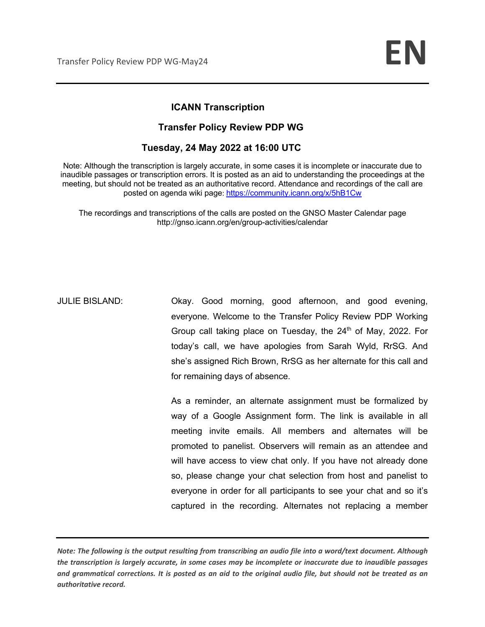## **ICANN Transcription**

### **Transfer Policy Review PDP WG**

## **Tuesday, 24 May 2022 at 16:00 UTC**

Note: Although the transcription is largely accurate, in some cases it is incomplete or inaccurate due to inaudible passages or transcription errors. It is posted as an aid to understanding the proceedings at the meeting, but should not be treated as an authoritative record. Attendance and recordings of the call are posted on agenda wiki page: https://community.icann.org/x/5hB1Cw

The recordings and transcriptions of the calls are posted on the GNSO Master Calendar page http://gnso.icann.org/en/group-activities/calendar

JULIE BISLAND: Okay. Good morning, good afternoon, and good evening, everyone. Welcome to the Transfer Policy Review PDP Working Group call taking place on Tuesday, the  $24<sup>th</sup>$  of May, 2022. For today's call, we have apologies from Sarah Wyld, RrSG. And she's assigned Rich Brown, RrSG as her alternate for this call and for remaining days of absence.

> As a reminder, an alternate assignment must be formalized by way of a Google Assignment form. The link is available in all meeting invite emails. All members and alternates will be promoted to panelist. Observers will remain as an attendee and will have access to view chat only. If you have not already done so, please change your chat selection from host and panelist to everyone in order for all participants to see your chat and so it's captured in the recording. Alternates not replacing a member

*Note: The following is the output resulting from transcribing an audio file into a word/text document. Although the transcription is largely accurate, in some cases may be incomplete or inaccurate due to inaudible passages and grammatical corrections. It is posted as an aid to the original audio file, but should not be treated as an authoritative record.*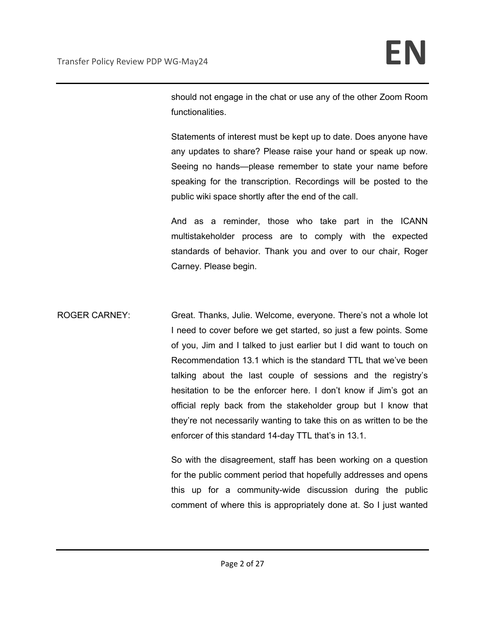should not engage in the chat or use any of the other Zoom Room functionalities.

Statements of interest must be kept up to date. Does anyone have any updates to share? Please raise your hand or speak up now. Seeing no hands—please remember to state your name before speaking for the transcription. Recordings will be posted to the public wiki space shortly after the end of the call.

And as a reminder, those who take part in the ICANN multistakeholder process are to comply with the expected standards of behavior. Thank you and over to our chair, Roger Carney. Please begin.

ROGER CARNEY: Great. Thanks, Julie. Welcome, everyone. There's not a whole lot I need to cover before we get started, so just a few points. Some of you, Jim and I talked to just earlier but I did want to touch on Recommendation 13.1 which is the standard TTL that we've been talking about the last couple of sessions and the registry's hesitation to be the enforcer here. I don't know if Jim's got an official reply back from the stakeholder group but I know that they're not necessarily wanting to take this on as written to be the enforcer of this standard 14-day TTL that's in 13.1.

> So with the disagreement, staff has been working on a question for the public comment period that hopefully addresses and opens this up for a community-wide discussion during the public comment of where this is appropriately done at. So I just wanted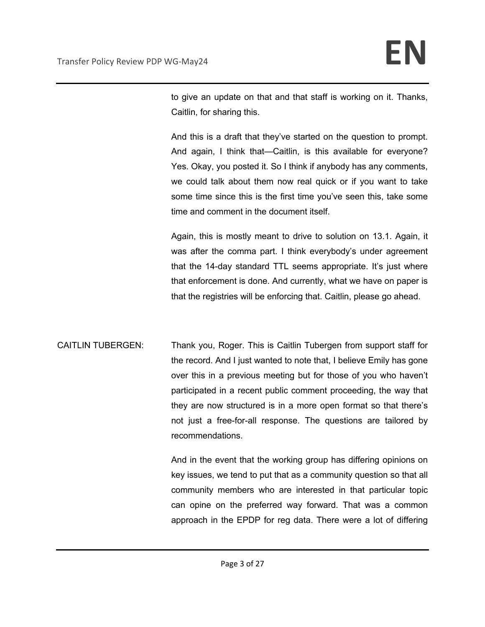to give an update on that and that staff is working on it. Thanks, Caitlin, for sharing this.

And this is a draft that they've started on the question to prompt. And again, I think that—Caitlin, is this available for everyone? Yes. Okay, you posted it. So I think if anybody has any comments, we could talk about them now real quick or if you want to take some time since this is the first time you've seen this, take some time and comment in the document itself.

Again, this is mostly meant to drive to solution on 13.1. Again, it was after the comma part. I think everybody's under agreement that the 14-day standard TTL seems appropriate. It's just where that enforcement is done. And currently, what we have on paper is that the registries will be enforcing that. Caitlin, please go ahead.

CAITLIN TUBERGEN: Thank you, Roger. This is Caitlin Tubergen from support staff for the record. And I just wanted to note that, I believe Emily has gone over this in a previous meeting but for those of you who haven't participated in a recent public comment proceeding, the way that they are now structured is in a more open format so that there's not just a free-for-all response. The questions are tailored by recommendations.

> And in the event that the working group has differing opinions on key issues, we tend to put that as a community question so that all community members who are interested in that particular topic can opine on the preferred way forward. That was a common approach in the EPDP for reg data. There were a lot of differing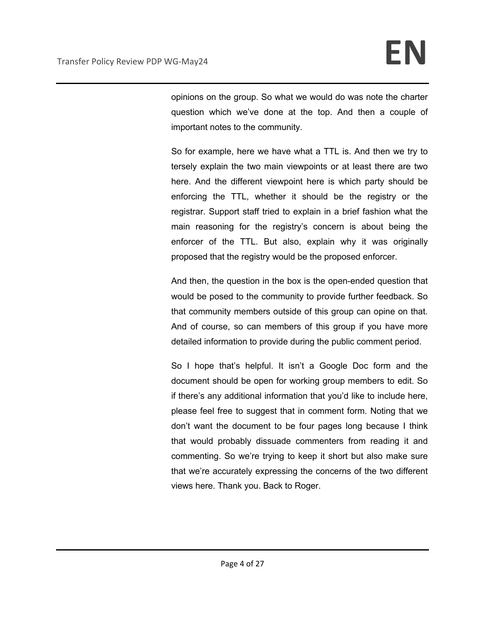opinions on the group. So what we would do was note the charter question which we've done at the top. And then a couple of important notes to the community.

So for example, here we have what a TTL is. And then we try to tersely explain the two main viewpoints or at least there are two here. And the different viewpoint here is which party should be enforcing the TTL, whether it should be the registry or the registrar. Support staff tried to explain in a brief fashion what the main reasoning for the registry's concern is about being the enforcer of the TTL. But also, explain why it was originally proposed that the registry would be the proposed enforcer.

And then, the question in the box is the open-ended question that would be posed to the community to provide further feedback. So that community members outside of this group can opine on that. And of course, so can members of this group if you have more detailed information to provide during the public comment period.

So I hope that's helpful. It isn't a Google Doc form and the document should be open for working group members to edit. So if there's any additional information that you'd like to include here, please feel free to suggest that in comment form. Noting that we don't want the document to be four pages long because I think that would probably dissuade commenters from reading it and commenting. So we're trying to keep it short but also make sure that we're accurately expressing the concerns of the two different views here. Thank you. Back to Roger.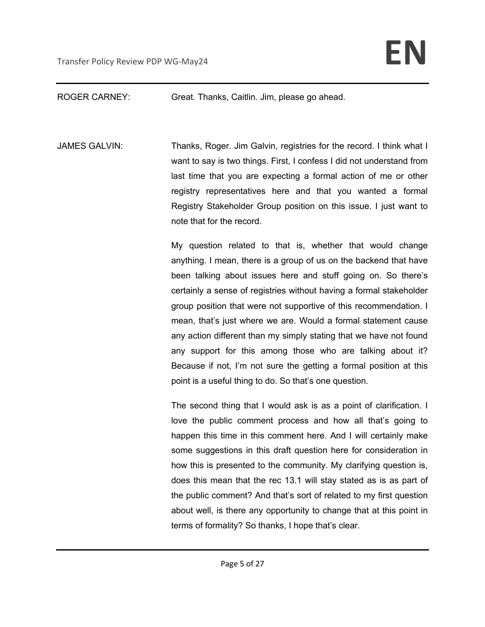## ROGER CARNEY: Great. Thanks, Caitlin. Jim, please go ahead.

JAMES GALVIN: Thanks, Roger. Jim Galvin, registries for the record. I think what I want to say is two things. First, I confess I did not understand from last time that you are expecting a formal action of me or other registry representatives here and that you wanted a formal Registry Stakeholder Group position on this issue. I just want to note that for the record.

> My question related to that is, whether that would change anything. I mean, there is a group of us on the backend that have been talking about issues here and stuff going on. So there's certainly a sense of registries without having a formal stakeholder group position that were not supportive of this recommendation. I mean, that's just where we are. Would a formal statement cause any action different than my simply stating that we have not found any support for this among those who are talking about it? Because if not, I'm not sure the getting a formal position at this point is a useful thing to do. So that's one question.

> The second thing that I would ask is as a point of clarification. I love the public comment process and how all that's going to happen this time in this comment here. And I will certainly make some suggestions in this draft question here for consideration in how this is presented to the community. My clarifying question is, does this mean that the rec 13.1 will stay stated as is as part of the public comment? And that's sort of related to my first question about well, is there any opportunity to change that at this point in terms of formality? So thanks, I hope that's clear.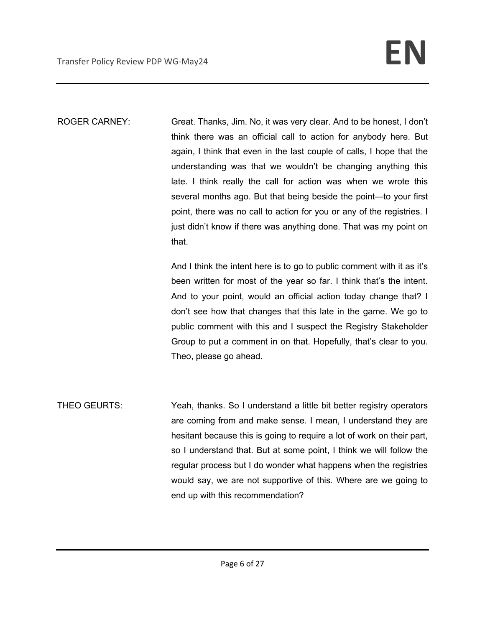ROGER CARNEY: Great. Thanks, Jim. No, it was very clear. And to be honest, I don't think there was an official call to action for anybody here. But again, I think that even in the last couple of calls, I hope that the understanding was that we wouldn't be changing anything this late. I think really the call for action was when we wrote this several months ago. But that being beside the point—to your first point, there was no call to action for you or any of the registries. I just didn't know if there was anything done. That was my point on that.

> And I think the intent here is to go to public comment with it as it's been written for most of the year so far. I think that's the intent. And to your point, would an official action today change that? I don't see how that changes that this late in the game. We go to public comment with this and I suspect the Registry Stakeholder Group to put a comment in on that. Hopefully, that's clear to you. Theo, please go ahead.

THEO GEURTS: Yeah, thanks. So I understand a little bit better registry operators are coming from and make sense. I mean, I understand they are hesitant because this is going to require a lot of work on their part, so I understand that. But at some point, I think we will follow the regular process but I do wonder what happens when the registries would say, we are not supportive of this. Where are we going to end up with this recommendation?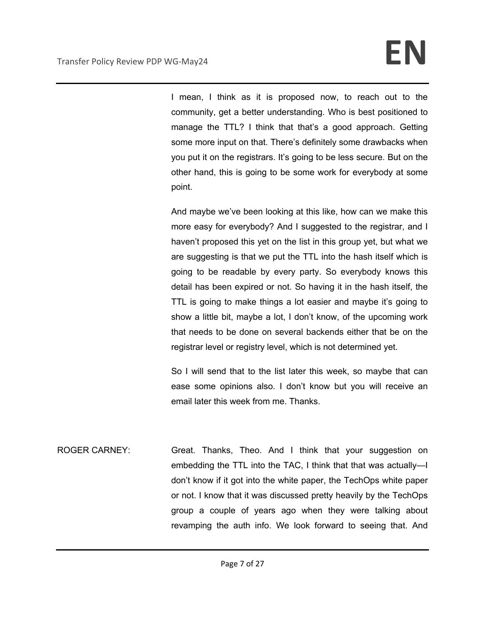I mean, I think as it is proposed now, to reach out to the community, get a better understanding. Who is best positioned to manage the TTL? I think that that's a good approach. Getting some more input on that. There's definitely some drawbacks when you put it on the registrars. It's going to be less secure. But on the other hand, this is going to be some work for everybody at some point.

And maybe we've been looking at this like, how can we make this more easy for everybody? And I suggested to the registrar, and I haven't proposed this yet on the list in this group yet, but what we are suggesting is that we put the TTL into the hash itself which is going to be readable by every party. So everybody knows this detail has been expired or not. So having it in the hash itself, the TTL is going to make things a lot easier and maybe it's going to show a little bit, maybe a lot, I don't know, of the upcoming work that needs to be done on several backends either that be on the registrar level or registry level, which is not determined yet.

So I will send that to the list later this week, so maybe that can ease some opinions also. I don't know but you will receive an email later this week from me. Thanks.

ROGER CARNEY: Great. Thanks, Theo. And I think that your suggestion on embedding the TTL into the TAC, I think that that was actually—I don't know if it got into the white paper, the TechOps white paper or not. I know that it was discussed pretty heavily by the TechOps group a couple of years ago when they were talking about revamping the auth info. We look forward to seeing that. And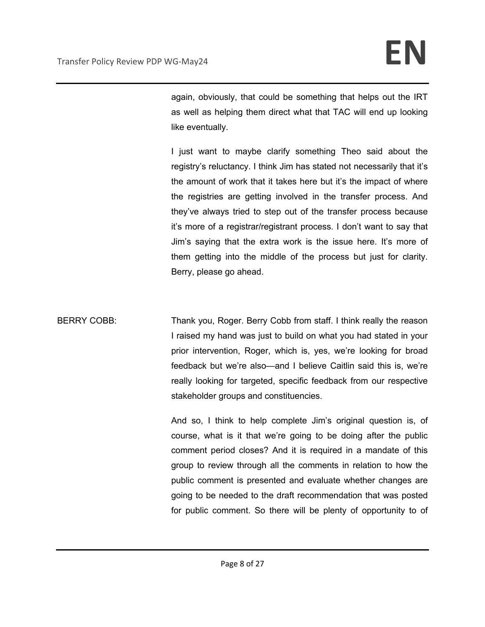again, obviously, that could be something that helps out the IRT as well as helping them direct what that TAC will end up looking like eventually.

I just want to maybe clarify something Theo said about the registry's reluctancy. I think Jim has stated not necessarily that it's the amount of work that it takes here but it's the impact of where the registries are getting involved in the transfer process. And they've always tried to step out of the transfer process because it's more of a registrar/registrant process. I don't want to say that Jim's saying that the extra work is the issue here. It's more of them getting into the middle of the process but just for clarity. Berry, please go ahead.

BERRY COBB: Thank you, Roger. Berry Cobb from staff. I think really the reason I raised my hand was just to build on what you had stated in your prior intervention, Roger, which is, yes, we're looking for broad feedback but we're also—and I believe Caitlin said this is, we're really looking for targeted, specific feedback from our respective stakeholder groups and constituencies.

> And so, I think to help complete Jim's original question is, of course, what is it that we're going to be doing after the public comment period closes? And it is required in a mandate of this group to review through all the comments in relation to how the public comment is presented and evaluate whether changes are going to be needed to the draft recommendation that was posted for public comment. So there will be plenty of opportunity to of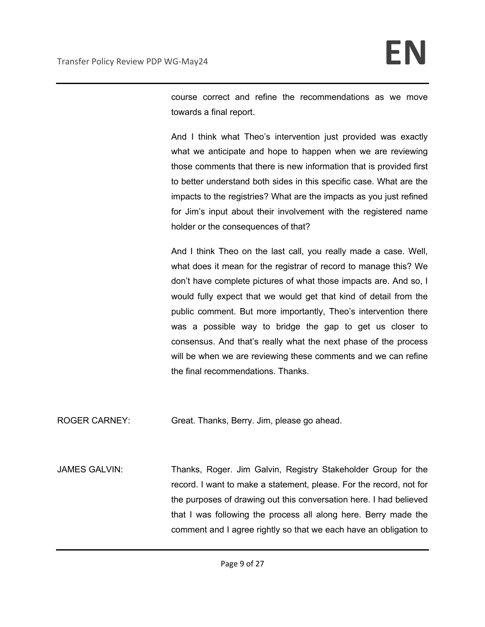course correct and refine the recommendations as we move towards a final report.

And I think what Theo's intervention just provided was exactly what we anticipate and hope to happen when we are reviewing those comments that there is new information that is provided first to better understand both sides in this specific case. What are the impacts to the registries? What are the impacts as you just refined for Jim's input about their involvement with the registered name holder or the consequences of that?

And I think Theo on the last call, you really made a case. Well, what does it mean for the registrar of record to manage this? We don't have complete pictures of what those impacts are. And so, I would fully expect that we would get that kind of detail from the public comment. But more importantly, Theo's intervention there was a possible way to bridge the gap to get us closer to consensus. And that's really what the next phase of the process will be when we are reviewing these comments and we can refine the final recommendations. Thanks.

ROGER CARNEY: Great. Thanks, Berry. Jim, please go ahead.

JAMES GALVIN: Thanks, Roger. Jim Galvin, Registry Stakeholder Group for the record. I want to make a statement, please. For the record, not for the purposes of drawing out this conversation here. I had believed that I was following the process all along here. Berry made the comment and I agree rightly so that we each have an obligation to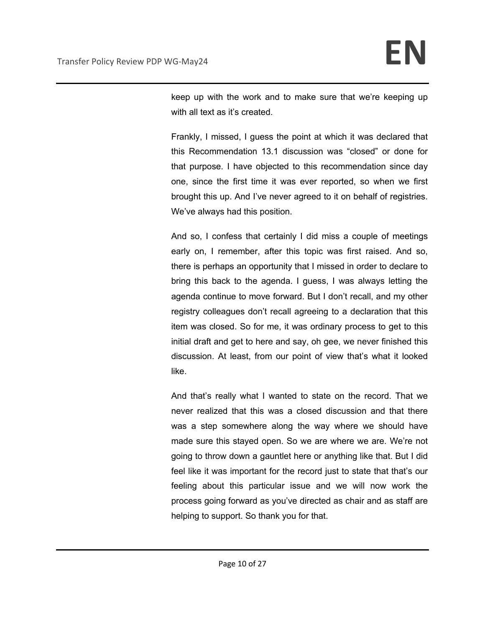keep up with the work and to make sure that we're keeping up with all text as it's created.

Frankly, I missed, I guess the point at which it was declared that this Recommendation 13.1 discussion was "closed" or done for that purpose. I have objected to this recommendation since day one, since the first time it was ever reported, so when we first brought this up. And I've never agreed to it on behalf of registries. We've always had this position.

And so, I confess that certainly I did miss a couple of meetings early on, I remember, after this topic was first raised. And so, there is perhaps an opportunity that I missed in order to declare to bring this back to the agenda. I guess, I was always letting the agenda continue to move forward. But I don't recall, and my other registry colleagues don't recall agreeing to a declaration that this item was closed. So for me, it was ordinary process to get to this initial draft and get to here and say, oh gee, we never finished this discussion. At least, from our point of view that's what it looked like.

And that's really what I wanted to state on the record. That we never realized that this was a closed discussion and that there was a step somewhere along the way where we should have made sure this stayed open. So we are where we are. We're not going to throw down a gauntlet here or anything like that. But I did feel like it was important for the record just to state that that's our feeling about this particular issue and we will now work the process going forward as you've directed as chair and as staff are helping to support. So thank you for that.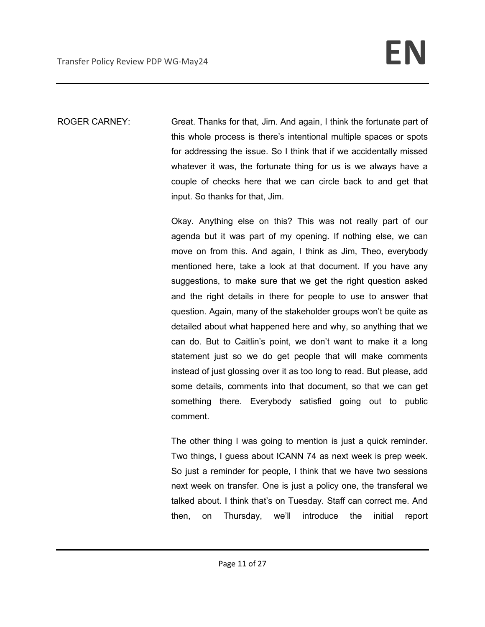ROGER CARNEY: Great. Thanks for that, Jim. And again, I think the fortunate part of this whole process is there's intentional multiple spaces or spots for addressing the issue. So I think that if we accidentally missed whatever it was, the fortunate thing for us is we always have a couple of checks here that we can circle back to and get that input. So thanks for that, Jim.

> Okay. Anything else on this? This was not really part of our agenda but it was part of my opening. If nothing else, we can move on from this. And again, I think as Jim, Theo, everybody mentioned here, take a look at that document. If you have any suggestions, to make sure that we get the right question asked and the right details in there for people to use to answer that question. Again, many of the stakeholder groups won't be quite as detailed about what happened here and why, so anything that we can do. But to Caitlin's point, we don't want to make it a long statement just so we do get people that will make comments instead of just glossing over it as too long to read. But please, add some details, comments into that document, so that we can get something there. Everybody satisfied going out to public comment.

> The other thing I was going to mention is just a quick reminder. Two things, I guess about ICANN 74 as next week is prep week. So just a reminder for people, I think that we have two sessions next week on transfer. One is just a policy one, the transferal we talked about. I think that's on Tuesday. Staff can correct me. And then, on Thursday, we'll introduce the initial report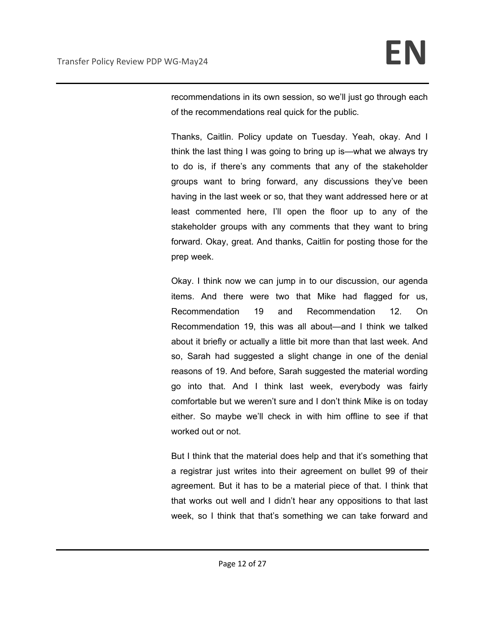recommendations in its own session, so we'll just go through each of the recommendations real quick for the public.

Thanks, Caitlin. Policy update on Tuesday. Yeah, okay. And I think the last thing I was going to bring up is—what we always try to do is, if there's any comments that any of the stakeholder groups want to bring forward, any discussions they've been having in the last week or so, that they want addressed here or at least commented here, I'll open the floor up to any of the stakeholder groups with any comments that they want to bring forward. Okay, great. And thanks, Caitlin for posting those for the prep week.

Okay. I think now we can jump in to our discussion, our agenda items. And there were two that Mike had flagged for us, Recommendation 19 and Recommendation 12. On Recommendation 19, this was all about—and I think we talked about it briefly or actually a little bit more than that last week. And so, Sarah had suggested a slight change in one of the denial reasons of 19. And before, Sarah suggested the material wording go into that. And I think last week, everybody was fairly comfortable but we weren't sure and I don't think Mike is on today either. So maybe we'll check in with him offline to see if that worked out or not.

But I think that the material does help and that it's something that a registrar just writes into their agreement on bullet 99 of their agreement. But it has to be a material piece of that. I think that that works out well and I didn't hear any oppositions to that last week, so I think that that's something we can take forward and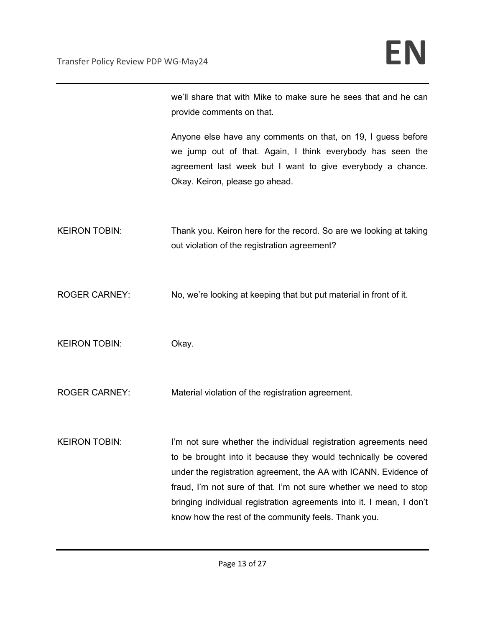we'll share that with Mike to make sure he sees that and he can provide comments on that.

Anyone else have any comments on that, on 19, I guess before we jump out of that. Again, I think everybody has seen the agreement last week but I want to give everybody a chance. Okay. Keiron, please go ahead.

KEIRON TOBIN: Thank you. Keiron here for the record. So are we looking at taking out violation of the registration agreement?

ROGER CARNEY: No, we're looking at keeping that but put material in front of it.

KEIRON TOBIN: Okay.

ROGER CARNEY: Material violation of the registration agreement.

KEIRON TOBIN: I'm not sure whether the individual registration agreements need to be brought into it because they would technically be covered under the registration agreement, the AA with ICANN. Evidence of fraud, I'm not sure of that. I'm not sure whether we need to stop bringing individual registration agreements into it. I mean, I don't know how the rest of the community feels. Thank you.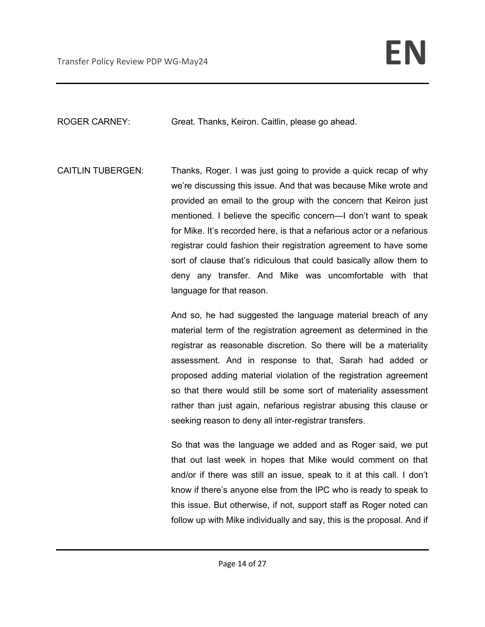ROGER CARNEY: Great. Thanks, Keiron. Caitlin, please go ahead.

CAITLIN TUBERGEN: Thanks, Roger. I was just going to provide a quick recap of why we're discussing this issue. And that was because Mike wrote and provided an email to the group with the concern that Keiron just mentioned. I believe the specific concern—I don't want to speak for Mike. It's recorded here, is that a nefarious actor or a nefarious registrar could fashion their registration agreement to have some sort of clause that's ridiculous that could basically allow them to deny any transfer. And Mike was uncomfortable with that language for that reason.

> And so, he had suggested the language material breach of any material term of the registration agreement as determined in the registrar as reasonable discretion. So there will be a materiality assessment. And in response to that, Sarah had added or proposed adding material violation of the registration agreement so that there would still be some sort of materiality assessment rather than just again, nefarious registrar abusing this clause or seeking reason to deny all inter-registrar transfers.

> So that was the language we added and as Roger said, we put that out last week in hopes that Mike would comment on that and/or if there was still an issue, speak to it at this call. I don't know if there's anyone else from the IPC who is ready to speak to this issue. But otherwise, if not, support staff as Roger noted can follow up with Mike individually and say, this is the proposal. And if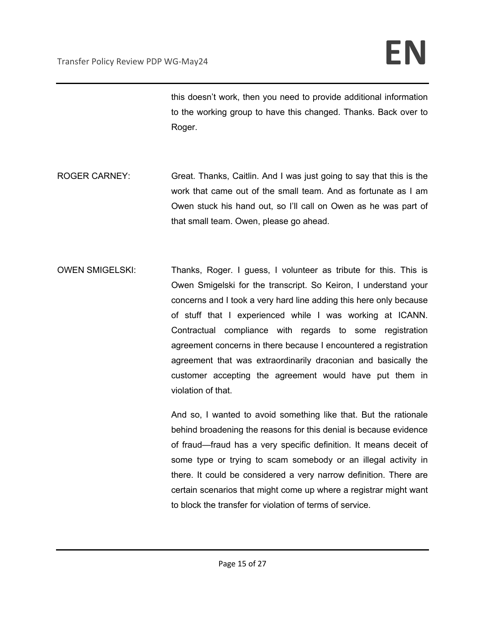this doesn't work, then you need to provide additional information to the working group to have this changed. Thanks. Back over to Roger.

- ROGER CARNEY: Great. Thanks, Caitlin. And I was just going to say that this is the work that came out of the small team. And as fortunate as I am Owen stuck his hand out, so I'll call on Owen as he was part of that small team. Owen, please go ahead.
- OWEN SMIGELSKI: Thanks, Roger. I guess, I volunteer as tribute for this. This is Owen Smigelski for the transcript. So Keiron, I understand your concerns and I took a very hard line adding this here only because of stuff that I experienced while I was working at ICANN. Contractual compliance with regards to some registration agreement concerns in there because I encountered a registration agreement that was extraordinarily draconian and basically the customer accepting the agreement would have put them in violation of that.

And so, I wanted to avoid something like that. But the rationale behind broadening the reasons for this denial is because evidence of fraud—fraud has a very specific definition. It means deceit of some type or trying to scam somebody or an illegal activity in there. It could be considered a very narrow definition. There are certain scenarios that might come up where a registrar might want to block the transfer for violation of terms of service.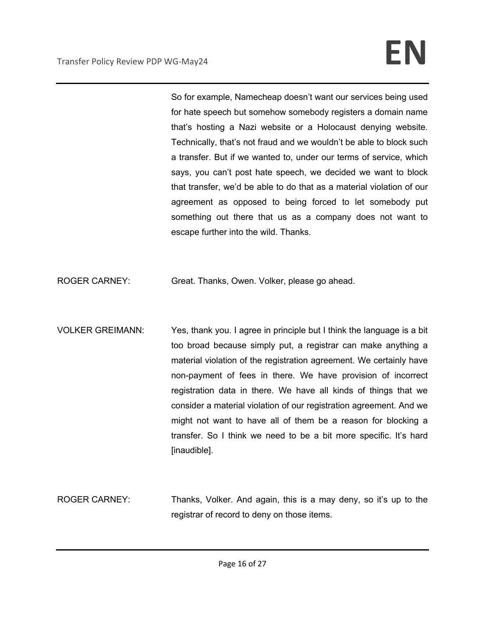So for example, Namecheap doesn't want our services being used for hate speech but somehow somebody registers a domain name that's hosting a Nazi website or a Holocaust denying website. Technically, that's not fraud and we wouldn't be able to block such a transfer. But if we wanted to, under our terms of service, which says, you can't post hate speech, we decided we want to block that transfer, we'd be able to do that as a material violation of our agreement as opposed to being forced to let somebody put something out there that us as a company does not want to escape further into the wild. Thanks.

ROGER CARNEY: Great. Thanks, Owen. Volker, please go ahead.

- VOLKER GREIMANN: Yes, thank you. I agree in principle but I think the language is a bit too broad because simply put, a registrar can make anything a material violation of the registration agreement. We certainly have non-payment of fees in there. We have provision of incorrect registration data in there. We have all kinds of things that we consider a material violation of our registration agreement. And we might not want to have all of them be a reason for blocking a transfer. So I think we need to be a bit more specific. It's hard [inaudible].
- ROGER CARNEY: Thanks, Volker. And again, this is a may deny, so it's up to the registrar of record to deny on those items.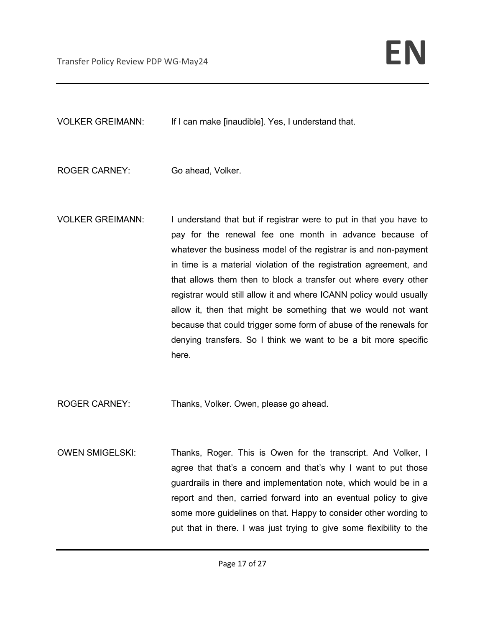VOLKER GREIMANN: If I can make [inaudible]. Yes, I understand that.

ROGER CARNEY: Go ahead, Volker.

VOLKER GREIMANN: I understand that but if registrar were to put in that you have to pay for the renewal fee one month in advance because of whatever the business model of the registrar is and non-payment in time is a material violation of the registration agreement, and that allows them then to block a transfer out where every other registrar would still allow it and where ICANN policy would usually allow it, then that might be something that we would not want because that could trigger some form of abuse of the renewals for denying transfers. So I think we want to be a bit more specific here.

ROGER CARNEY: Thanks, Volker. Owen, please go ahead.

OWEN SMIGELSKI: Thanks, Roger. This is Owen for the transcript. And Volker, I agree that that's a concern and that's why I want to put those guardrails in there and implementation note, which would be in a report and then, carried forward into an eventual policy to give some more guidelines on that. Happy to consider other wording to put that in there. I was just trying to give some flexibility to the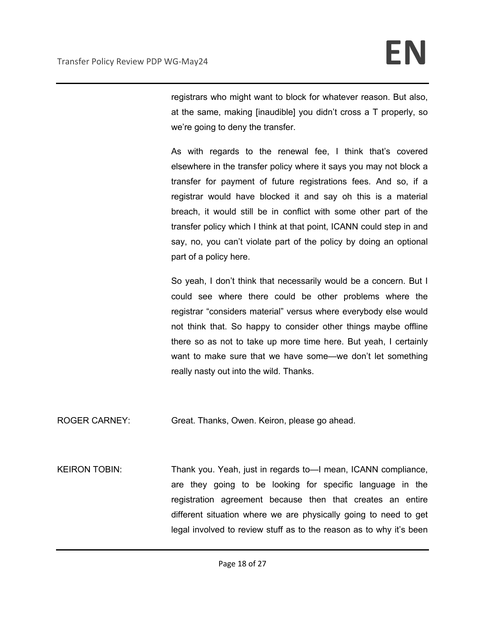registrars who might want to block for whatever reason. But also, at the same, making [inaudible] you didn't cross a T properly, so we're going to deny the transfer.

As with regards to the renewal fee, I think that's covered elsewhere in the transfer policy where it says you may not block a transfer for payment of future registrations fees. And so, if a registrar would have blocked it and say oh this is a material breach, it would still be in conflict with some other part of the transfer policy which I think at that point, ICANN could step in and say, no, you can't violate part of the policy by doing an optional part of a policy here.

So yeah, I don't think that necessarily would be a concern. But I could see where there could be other problems where the registrar "considers material" versus where everybody else would not think that. So happy to consider other things maybe offline there so as not to take up more time here. But yeah, I certainly want to make sure that we have some—we don't let something really nasty out into the wild. Thanks.

ROGER CARNEY: Great. Thanks, Owen. Keiron, please go ahead.

KEIRON TOBIN: Thank you. Yeah, just in regards to—I mean, ICANN compliance, are they going to be looking for specific language in the registration agreement because then that creates an entire different situation where we are physically going to need to get legal involved to review stuff as to the reason as to why it's been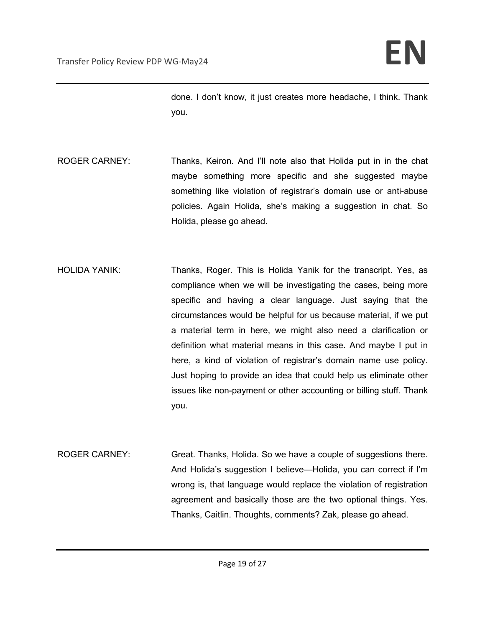done. I don't know, it just creates more headache, I think. Thank you.

- ROGER CARNEY: Thanks, Keiron. And I'll note also that Holida put in in the chat maybe something more specific and she suggested maybe something like violation of registrar's domain use or anti-abuse policies. Again Holida, she's making a suggestion in chat. So Holida, please go ahead.
- HOLIDA YANIK: Thanks, Roger. This is Holida Yanik for the transcript. Yes, as compliance when we will be investigating the cases, being more specific and having a clear language. Just saying that the circumstances would be helpful for us because material, if we put a material term in here, we might also need a clarification or definition what material means in this case. And maybe I put in here, a kind of violation of registrar's domain name use policy. Just hoping to provide an idea that could help us eliminate other issues like non-payment or other accounting or billing stuff. Thank you.
- ROGER CARNEY: Great. Thanks, Holida. So we have a couple of suggestions there. And Holida's suggestion I believe—Holida, you can correct if I'm wrong is, that language would replace the violation of registration agreement and basically those are the two optional things. Yes. Thanks, Caitlin. Thoughts, comments? Zak, please go ahead.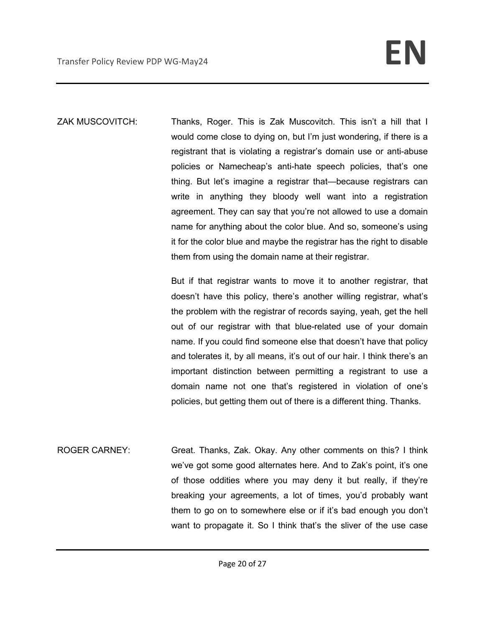ZAK MUSCOVITCH: Thanks, Roger. This is Zak Muscovitch. This isn't a hill that I would come close to dying on, but I'm just wondering, if there is a registrant that is violating a registrar's domain use or anti-abuse policies or Namecheap's anti-hate speech policies, that's one thing. But let's imagine a registrar that—because registrars can write in anything they bloody well want into a registration agreement. They can say that you're not allowed to use a domain name for anything about the color blue. And so, someone's using it for the color blue and maybe the registrar has the right to disable them from using the domain name at their registrar.

> But if that registrar wants to move it to another registrar, that doesn't have this policy, there's another willing registrar, what's the problem with the registrar of records saying, yeah, get the hell out of our registrar with that blue-related use of your domain name. If you could find someone else that doesn't have that policy and tolerates it, by all means, it's out of our hair. I think there's an important distinction between permitting a registrant to use a domain name not one that's registered in violation of one's policies, but getting them out of there is a different thing. Thanks.

ROGER CARNEY: Great. Thanks, Zak. Okay. Any other comments on this? I think we've got some good alternates here. And to Zak's point, it's one of those oddities where you may deny it but really, if they're breaking your agreements, a lot of times, you'd probably want them to go on to somewhere else or if it's bad enough you don't want to propagate it. So I think that's the sliver of the use case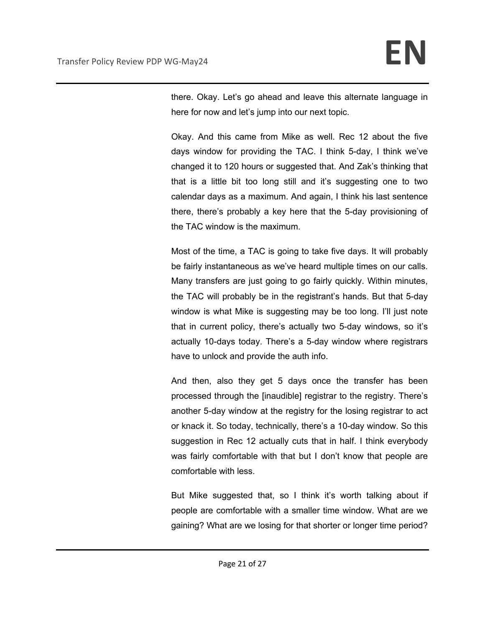there. Okay. Let's go ahead and leave this alternate language in here for now and let's jump into our next topic.

Okay. And this came from Mike as well. Rec 12 about the five days window for providing the TAC. I think 5-day, I think we've changed it to 120 hours or suggested that. And Zak's thinking that that is a little bit too long still and it's suggesting one to two calendar days as a maximum. And again, I think his last sentence there, there's probably a key here that the 5-day provisioning of the TAC window is the maximum.

Most of the time, a TAC is going to take five days. It will probably be fairly instantaneous as we've heard multiple times on our calls. Many transfers are just going to go fairly quickly. Within minutes, the TAC will probably be in the registrant's hands. But that 5-day window is what Mike is suggesting may be too long. I'll just note that in current policy, there's actually two 5-day windows, so it's actually 10-days today. There's a 5-day window where registrars have to unlock and provide the auth info.

And then, also they get 5 days once the transfer has been processed through the [inaudible] registrar to the registry. There's another 5-day window at the registry for the losing registrar to act or knack it. So today, technically, there's a 10-day window. So this suggestion in Rec 12 actually cuts that in half. I think everybody was fairly comfortable with that but I don't know that people are comfortable with less.

But Mike suggested that, so I think it's worth talking about if people are comfortable with a smaller time window. What are we gaining? What are we losing for that shorter or longer time period?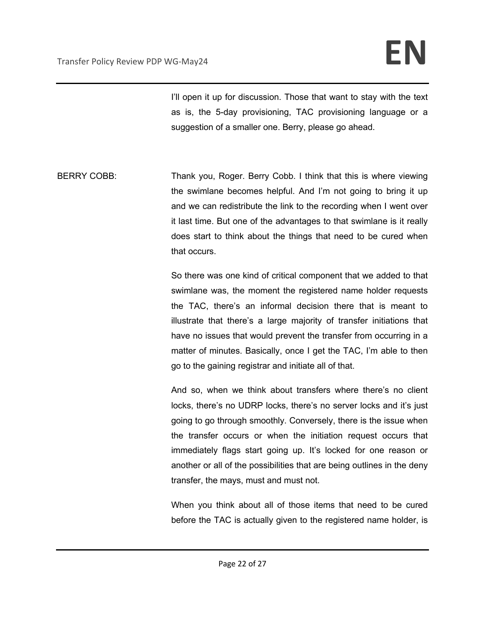I'll open it up for discussion. Those that want to stay with the text as is, the 5-day provisioning, TAC provisioning language or a suggestion of a smaller one. Berry, please go ahead.

BERRY COBB: Thank you, Roger. Berry Cobb. I think that this is where viewing the swimlane becomes helpful. And I'm not going to bring it up and we can redistribute the link to the recording when I went over it last time. But one of the advantages to that swimlane is it really does start to think about the things that need to be cured when that occurs.

> So there was one kind of critical component that we added to that swimlane was, the moment the registered name holder requests the TAC, there's an informal decision there that is meant to illustrate that there's a large majority of transfer initiations that have no issues that would prevent the transfer from occurring in a matter of minutes. Basically, once I get the TAC, I'm able to then go to the gaining registrar and initiate all of that.

> And so, when we think about transfers where there's no client locks, there's no UDRP locks, there's no server locks and it's just going to go through smoothly. Conversely, there is the issue when the transfer occurs or when the initiation request occurs that immediately flags start going up. It's locked for one reason or another or all of the possibilities that are being outlines in the deny transfer, the mays, must and must not.

> When you think about all of those items that need to be cured before the TAC is actually given to the registered name holder, is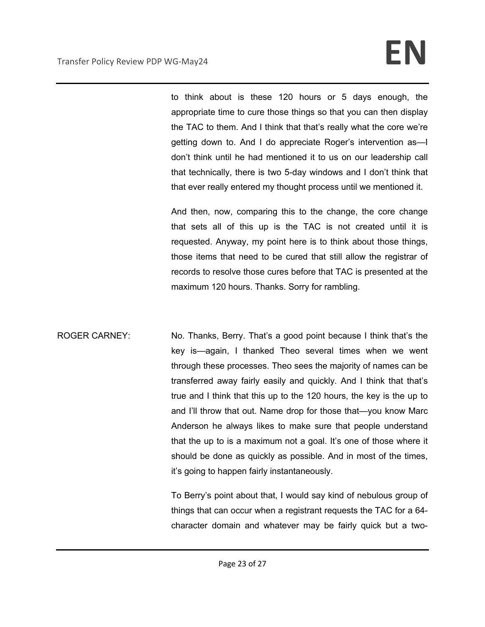to think about is these 120 hours or 5 days enough, the appropriate time to cure those things so that you can then display the TAC to them. And I think that that's really what the core we're getting down to. And I do appreciate Roger's intervention as—I don't think until he had mentioned it to us on our leadership call that technically, there is two 5-day windows and I don't think that that ever really entered my thought process until we mentioned it.

And then, now, comparing this to the change, the core change that sets all of this up is the TAC is not created until it is requested. Anyway, my point here is to think about those things, those items that need to be cured that still allow the registrar of records to resolve those cures before that TAC is presented at the maximum 120 hours. Thanks. Sorry for rambling.

ROGER CARNEY: No. Thanks, Berry. That's a good point because I think that's the key is—again, I thanked Theo several times when we went through these processes. Theo sees the majority of names can be transferred away fairly easily and quickly. And I think that that's true and I think that this up to the 120 hours, the key is the up to and I'll throw that out. Name drop for those that—you know Marc Anderson he always likes to make sure that people understand that the up to is a maximum not a goal. It's one of those where it should be done as quickly as possible. And in most of the times, it's going to happen fairly instantaneously.

> To Berry's point about that, I would say kind of nebulous group of things that can occur when a registrant requests the TAC for a 64 character domain and whatever may be fairly quick but a two-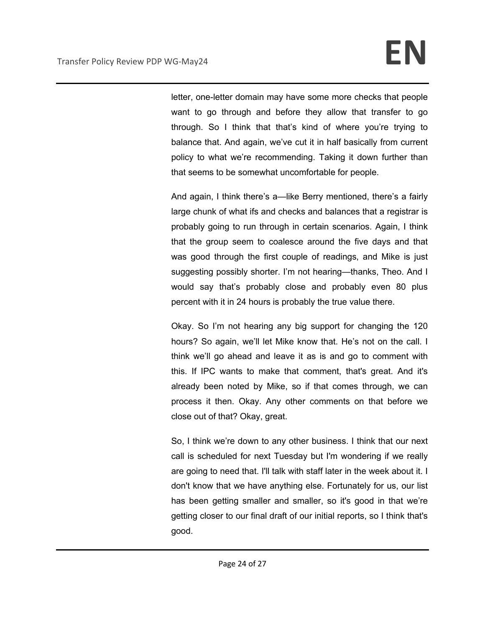letter, one-letter domain may have some more checks that people want to go through and before they allow that transfer to go through. So I think that that's kind of where you're trying to balance that. And again, we've cut it in half basically from current policy to what we're recommending. Taking it down further than that seems to be somewhat uncomfortable for people.

And again, I think there's a—like Berry mentioned, there's a fairly large chunk of what ifs and checks and balances that a registrar is probably going to run through in certain scenarios. Again, I think that the group seem to coalesce around the five days and that was good through the first couple of readings, and Mike is just suggesting possibly shorter. I'm not hearing—thanks, Theo. And I would say that's probably close and probably even 80 plus percent with it in 24 hours is probably the true value there.

Okay. So I'm not hearing any big support for changing the 120 hours? So again, we'll let Mike know that. He's not on the call. I think we'll go ahead and leave it as is and go to comment with this. If IPC wants to make that comment, that's great. And it's already been noted by Mike, so if that comes through, we can process it then. Okay. Any other comments on that before we close out of that? Okay, great.

So, I think we're down to any other business. I think that our next call is scheduled for next Tuesday but I'm wondering if we really are going to need that. I'll talk with staff later in the week about it. I don't know that we have anything else. Fortunately for us, our list has been getting smaller and smaller, so it's good in that we're getting closer to our final draft of our initial reports, so I think that's good.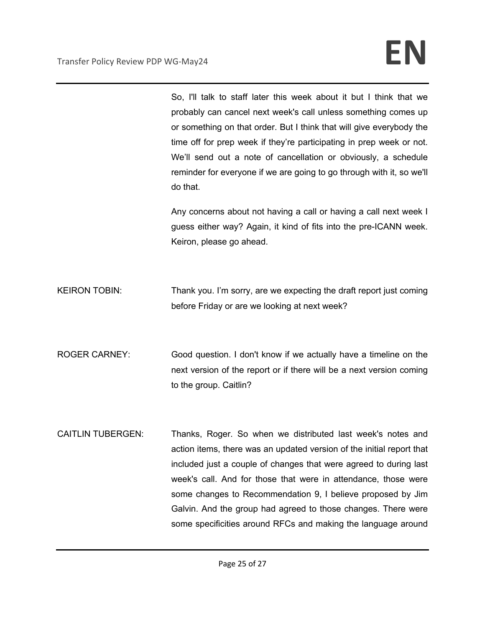So, I'll talk to staff later this week about it but I think that we probably can cancel next week's call unless something comes up or something on that order. But I think that will give everybody the time off for prep week if they're participating in prep week or not. We'll send out a note of cancellation or obviously, a schedule reminder for everyone if we are going to go through with it, so we'll do that.

Any concerns about not having a call or having a call next week I guess either way? Again, it kind of fits into the pre-ICANN week. Keiron, please go ahead.

KEIRON TOBIN: Thank you. I'm sorry, are we expecting the draft report just coming before Friday or are we looking at next week?

ROGER CARNEY: Good question. I don't know if we actually have a timeline on the next version of the report or if there will be a next version coming to the group. Caitlin?

CAITLIN TUBERGEN: Thanks, Roger. So when we distributed last week's notes and action items, there was an updated version of the initial report that included just a couple of changes that were agreed to during last week's call. And for those that were in attendance, those were some changes to Recommendation 9, I believe proposed by Jim Galvin. And the group had agreed to those changes. There were some specificities around RFCs and making the language around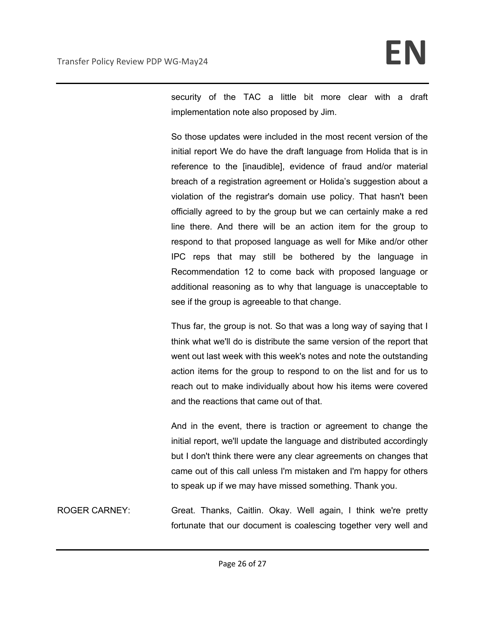security of the TAC a little bit more clear with a draft implementation note also proposed by Jim.

So those updates were included in the most recent version of the initial report We do have the draft language from Holida that is in reference to the [inaudible], evidence of fraud and/or material breach of a registration agreement or Holida's suggestion about a violation of the registrar's domain use policy. That hasn't been officially agreed to by the group but we can certainly make a red line there. And there will be an action item for the group to respond to that proposed language as well for Mike and/or other IPC reps that may still be bothered by the language in Recommendation 12 to come back with proposed language or additional reasoning as to why that language is unacceptable to see if the group is agreeable to that change.

Thus far, the group is not. So that was a long way of saying that I think what we'll do is distribute the same version of the report that went out last week with this week's notes and note the outstanding action items for the group to respond to on the list and for us to reach out to make individually about how his items were covered and the reactions that came out of that.

And in the event, there is traction or agreement to change the initial report, we'll update the language and distributed accordingly but I don't think there were any clear agreements on changes that came out of this call unless I'm mistaken and I'm happy for others to speak up if we may have missed something. Thank you.

ROGER CARNEY: Great. Thanks, Caitlin. Okay. Well again, I think we're pretty fortunate that our document is coalescing together very well and